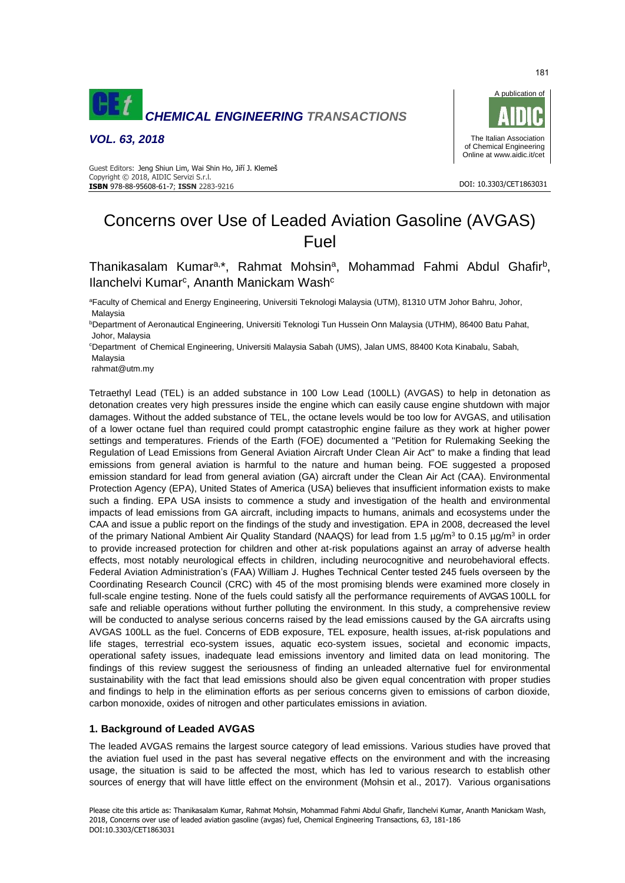

*VOL. 63, 2018*



#### DOI: 10.3303/CET1863031

#### Guest Editors: Jeng Shiun Lim, Wai Shin Ho, Jiří J. Klemeš Copyright © 2018, AIDIC Servizi S.r.l. **ISBN** 978-88-95608-61-7; **ISSN** 2283-9216

# Concerns over Use of Leaded Aviation Gasoline (AVGAS) Fuel

Thanikasalam Kumar<sup>a,\*</sup>, Rahmat Mohsin<sup>a</sup>, Mohammad Fahmi Abdul Ghafir<sup>b</sup>, Ilanchelvi Kumar<sup>c</sup>, Ananth Manickam Wash<sup>c</sup>

<sup>a</sup>Faculty of Chemical and Energy Engineering, Universiti Teknologi Malaysia (UTM), 81310 UTM Johor Bahru, Johor, Malaysia

<sup>b</sup>Department of Aeronautical Engineering, Universiti Teknologi Tun Hussein Onn Malaysia (UTHM), 86400 Batu Pahat, Johor, Malaysia

<sup>c</sup>Department of Chemical Engineering, Universiti Malaysia Sabah (UMS), Jalan UMS, 88400 Kota Kinabalu, Sabah, Malaysia

rahmat@utm.my

Tetraethyl Lead (TEL) is an added substance in 100 Low Lead (100LL) (AVGAS) to help in detonation as detonation creates very high pressures inside the engine which can easily cause engine shutdown with major damages. Without the added substance of TEL, the octane levels would be too low for AVGAS, and utilisation of a lower octane fuel than required could prompt catastrophic engine failure as they work at higher power settings and temperatures. Friends of the Earth (FOE) documented a ''Petition for Rulemaking Seeking the Regulation of Lead Emissions from General Aviation Aircraft Under Clean Air Act" to make a finding that lead emissions from general aviation is harmful to the nature and human being. FOE suggested a proposed emission standard for lead from general aviation (GA) aircraft under the Clean Air Act (CAA). Environmental Protection Agency (EPA), United States of America (USA) believes that insufficient information exists to make such a finding. EPA USA insists to commence a study and investigation of the health and environmental impacts of lead emissions from GA aircraft, including impacts to humans, animals and ecosystems under the CAA and issue a public report on the findings of the study and investigation. EPA in 2008, decreased the level of the primary National Ambient Air Quality Standard (NAAQS) for lead from 1.5 µg/m<sup>3</sup> to 0.15 µg/m<sup>3</sup> in order to provide increased protection for children and other at-risk populations against an array of adverse health effects, most notably neurological effects in children, including neurocognitive and neurobehavioral effects. Federal Aviation Administration's (FAA) William J. Hughes Technical Center tested 245 fuels overseen by the Coordinating Research Council (CRC) with 45 of the most promising blends were examined more closely in full-scale engine testing. None of the fuels could satisfy all the performance requirements of AVGAS 100LL for safe and reliable operations without further polluting the environment. In this study, a comprehensive review will be conducted to analyse serious concerns raised by the lead emissions caused by the GA aircrafts using AVGAS 100LL as the fuel. Concerns of EDB exposure, TEL exposure, health issues, at-risk populations and life stages, terrestrial eco-system issues, aquatic eco-system issues, societal and economic impacts, operational safety issues, inadequate lead emissions inventory and limited data on lead monitoring. The findings of this review suggest the seriousness of finding an unleaded alternative fuel for environmental sustainability with the fact that lead emissions should also be given equal concentration with proper studies and findings to help in the elimination efforts as per serious concerns given to emissions of carbon dioxide, carbon monoxide, oxides of nitrogen and other particulates emissions in aviation.

# **1. Background of Leaded AVGAS**

The leaded AVGAS remains the largest source category of lead emissions. Various studies have proved that the aviation fuel used in the past has several negative effects on the environment and with the increasing usage, the situation is said to be affected the most, which has led to various research to establish other sources of energy that will have little effect on the environment (Mohsin et al., 2017). Various organisations

181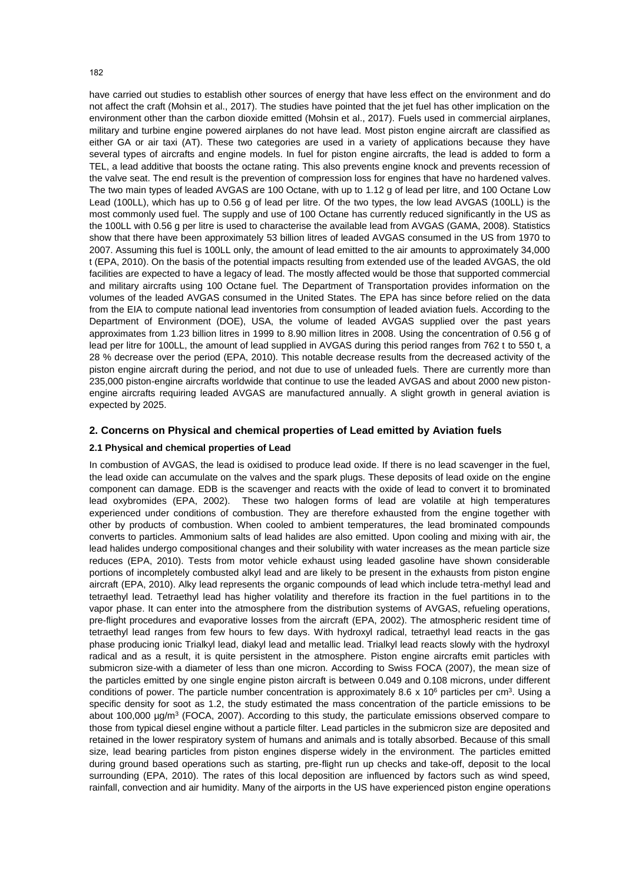have carried out studies to establish other sources of energy that have less effect on the environment and do not affect the craft (Mohsin et al., 2017). The studies have pointed that the jet fuel has other implication on the environment other than the carbon dioxide emitted (Mohsin et al., 2017). Fuels used in commercial airplanes, military and turbine engine powered airplanes do not have lead. Most piston engine aircraft are classified as either GA or air taxi (AT). These two categories are used in a variety of applications because they have several types of aircrafts and engine models. In fuel for piston engine aircrafts, the lead is added to form a TEL, a lead additive that boosts the octane rating. This also prevents engine knock and prevents recession of the valve seat. The end result is the prevention of compression loss for engines that have no hardened valves. The two main types of leaded AVGAS are 100 Octane, with up to 1.12 g of lead per litre, and 100 Octane Low Lead (100LL), which has up to 0.56 g of lead per litre. Of the two types, the low lead AVGAS (100LL) is the most commonly used fuel. The supply and use of 100 Octane has currently reduced significantly in the US as the 100LL with 0.56 g per litre is used to characterise the available lead from AVGAS (GAMA, 2008). Statistics show that there have been approximately 53 billion litres of leaded AVGAS consumed in the US from 1970 to 2007. Assuming this fuel is 100LL only, the amount of lead emitted to the air amounts to approximately 34,000 t (EPA, 2010). On the basis of the potential impacts resulting from extended use of the leaded AVGAS, the old facilities are expected to have a legacy of lead. The mostly affected would be those that supported commercial and military aircrafts using 100 Octane fuel. The Department of Transportation provides information on the volumes of the leaded AVGAS consumed in the United States. The EPA has since before relied on the data from the EIA to compute national lead inventories from consumption of leaded aviation fuels. According to the Department of Environment (DOE), USA, the volume of leaded AVGAS supplied over the past years approximates from 1.23 billion litres in 1999 to 8.90 million litres in 2008. Using the concentration of 0.56 g of lead per litre for 100LL, the amount of lead supplied in AVGAS during this period ranges from 762 t to 550 t, a 28 % decrease over the period (EPA, 2010). This notable decrease results from the decreased activity of the piston engine aircraft during the period, and not due to use of unleaded fuels. There are currently more than 235,000 piston-engine aircrafts worldwide that continue to use the leaded AVGAS and about 2000 new pistonengine aircrafts requiring leaded AVGAS are manufactured annually. A slight growth in general aviation is expected by 2025.

## **2. Concerns on Physical and chemical properties of Lead emitted by Aviation fuels**

#### **2.1 Physical and chemical properties of Lead**

In combustion of AVGAS, the lead is oxidised to produce lead oxide. If there is no lead scavenger in the fuel, the lead oxide can accumulate on the valves and the spark plugs. These deposits of lead oxide on the engine component can damage. EDB is the scavenger and reacts with the oxide of lead to convert it to brominated lead oxybromides (EPA, 2002). These two halogen forms of lead are volatile at high temperatures experienced under conditions of combustion. They are therefore exhausted from the engine together with other by products of combustion. When cooled to ambient temperatures, the lead brominated compounds converts to particles. Ammonium salts of lead halides are also emitted. Upon cooling and mixing with air, the lead halides undergo compositional changes and their solubility with water increases as the mean particle size reduces (EPA, 2010). Tests from motor vehicle exhaust using leaded gasoline have shown considerable portions of incompletely combusted alkyl lead and are likely to be present in the exhausts from piston engine aircraft (EPA, 2010). Alky lead represents the organic compounds of lead which include tetra-methyl lead and tetraethyl lead. Tetraethyl lead has higher volatility and therefore its fraction in the fuel partitions in to the vapor phase. It can enter into the atmosphere from the distribution systems of AVGAS, refueling operations, pre-flight procedures and evaporative losses from the aircraft (EPA, 2002). The atmospheric resident time of tetraethyl lead ranges from few hours to few days. With hydroxyl radical, tetraethyl lead reacts in the gas phase producing ionic Trialkyl lead, diakyl lead and metallic lead. Trialkyl lead reacts slowly with the hydroxyl radical and as a result, it is quite persistent in the atmosphere. Piston engine aircrafts emit particles with submicron size-with a diameter of less than one micron. According to Swiss FOCA (2007), the mean size of the particles emitted by one single engine piston aircraft is between 0.049 and 0.108 microns, under different conditions of power. The particle number concentration is approximately 8.6  $\times$  10<sup>6</sup> particles per cm<sup>3</sup>. Using a specific density for soot as 1.2, the study estimated the mass concentration of the particle emissions to be about 100,000  $\mu$ g/m<sup>3</sup> (FOCA, 2007). According to this study, the particulate emissions observed compare to those from typical diesel engine without a particle filter. Lead particles in the submicron size are deposited and retained in the lower respiratory system of humans and animals and is totally absorbed. Because of this small size, lead bearing particles from piston engines disperse widely in the environment. The particles emitted during ground based operations such as starting, pre-flight run up checks and take-off, deposit to the local surrounding (EPA, 2010). The rates of this local deposition are influenced by factors such as wind speed, rainfall, convection and air humidity. Many of the airports in the US have experienced piston engine operations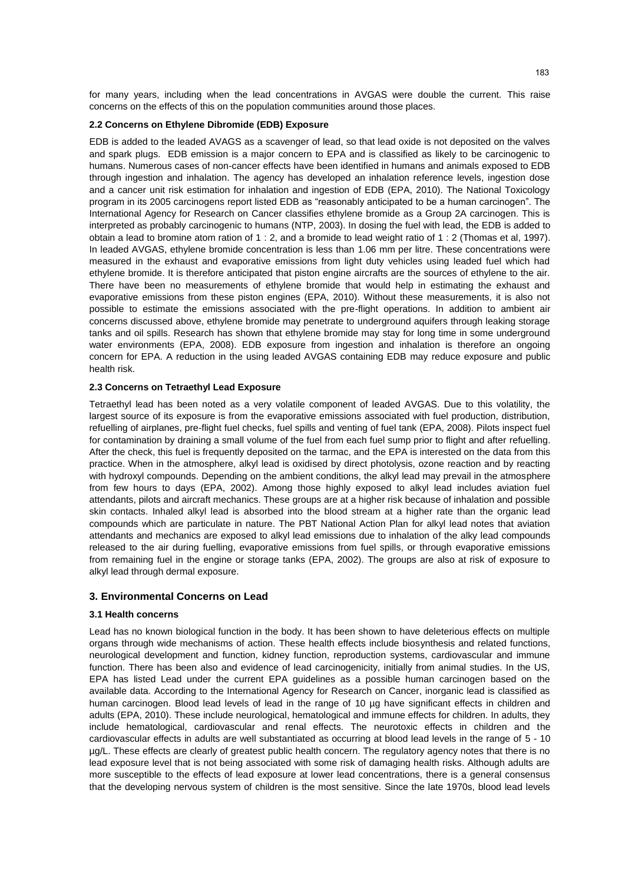for many years, including when the lead concentrations in AVGAS were double the current. This raise concerns on the effects of this on the population communities around those places.

## **2.2 Concerns on Ethylene Dibromide (EDB) Exposure**

EDB is added to the leaded AVAGS as a scavenger of lead, so that lead oxide is not deposited on the valves and spark plugs. EDB emission is a major concern to EPA and is classified as likely to be carcinogenic to humans. Numerous cases of non-cancer effects have been identified in humans and animals exposed to EDB through ingestion and inhalation. The agency has developed an inhalation reference levels, ingestion dose and a cancer unit risk estimation for inhalation and ingestion of EDB (EPA, 2010). The National Toxicology program in its 2005 carcinogens report listed EDB as "reasonably anticipated to be a human carcinogen". The International Agency for Research on Cancer classifies ethylene bromide as a Group 2A carcinogen. This is interpreted as probably carcinogenic to humans (NTP, 2003). In dosing the fuel with lead, the EDB is added to obtain a lead to bromine atom ration of 1 : 2, and a bromide to lead weight ratio of 1 : 2 (Thomas et al, 1997). In leaded AVGAS, ethylene bromide concentration is less than 1.06 mm per litre. These concentrations were measured in the exhaust and evaporative emissions from light duty vehicles using leaded fuel which had ethylene bromide. It is therefore anticipated that piston engine aircrafts are the sources of ethylene to the air. There have been no measurements of ethylene bromide that would help in estimating the exhaust and evaporative emissions from these piston engines (EPA, 2010). Without these measurements, it is also not possible to estimate the emissions associated with the pre-flight operations. In addition to ambient air concerns discussed above, ethylene bromide may penetrate to underground aquifers through leaking storage tanks and oil spills. Research has shown that ethylene bromide may stay for long time in some underground water environments (EPA, 2008). EDB exposure from ingestion and inhalation is therefore an ongoing concern for EPA. A reduction in the using leaded AVGAS containing EDB may reduce exposure and public health risk.

#### **2.3 Concerns on Tetraethyl Lead Exposure**

Tetraethyl lead has been noted as a very volatile component of leaded AVGAS. Due to this volatility, the largest source of its exposure is from the evaporative emissions associated with fuel production, distribution, refuelling of airplanes, pre-flight fuel checks, fuel spills and venting of fuel tank (EPA, 2008). Pilots inspect fuel for contamination by draining a small volume of the fuel from each fuel sump prior to flight and after refuelling. After the check, this fuel is frequently deposited on the tarmac, and the EPA is interested on the data from this practice. When in the atmosphere, alkyl lead is oxidised by direct photolysis, ozone reaction and by reacting with hydroxyl compounds. Depending on the ambient conditions, the alkyl lead may prevail in the atmosphere from few hours to days (EPA, 2002). Among those highly exposed to alkyl lead includes aviation fuel attendants, pilots and aircraft mechanics. These groups are at a higher risk because of inhalation and possible skin contacts. Inhaled alkyl lead is absorbed into the blood stream at a higher rate than the organic lead compounds which are particulate in nature. The PBT National Action Plan for alkyl lead notes that aviation attendants and mechanics are exposed to alkyl lead emissions due to inhalation of the alky lead compounds released to the air during fuelling, evaporative emissions from fuel spills, or through evaporative emissions from remaining fuel in the engine or storage tanks (EPA, 2002). The groups are also at risk of exposure to alkyl lead through dermal exposure.

## **3. Environmental Concerns on Lead**

#### **3.1 Health concerns**

Lead has no known biological function in the body. It has been shown to have deleterious effects on multiple organs through wide mechanisms of action. These health effects include biosynthesis and related functions, neurological development and function, kidney function, reproduction systems, cardiovascular and immune function. There has been also and evidence of lead carcinogenicity, initially from animal studies. In the US, EPA has listed Lead under the current EPA guidelines as a possible human carcinogen based on the available data. According to the International Agency for Research on Cancer, inorganic lead is classified as human carcinogen. Blood lead levels of lead in the range of 10 µg have significant effects in children and adults (EPA, 2010). These include neurological, hematological and immune effects for children. In adults, they include hematological, cardiovascular and renal effects. The neurotoxic effects in children and the cardiovascular effects in adults are well substantiated as occurring at blood lead levels in the range of 5 - 10 µg/L. These effects are clearly of greatest public health concern. The regulatory agency notes that there is no lead exposure level that is not being associated with some risk of damaging health risks. Although adults are more susceptible to the effects of lead exposure at lower lead concentrations, there is a general consensus that the developing nervous system of children is the most sensitive. Since the late 1970s, blood lead levels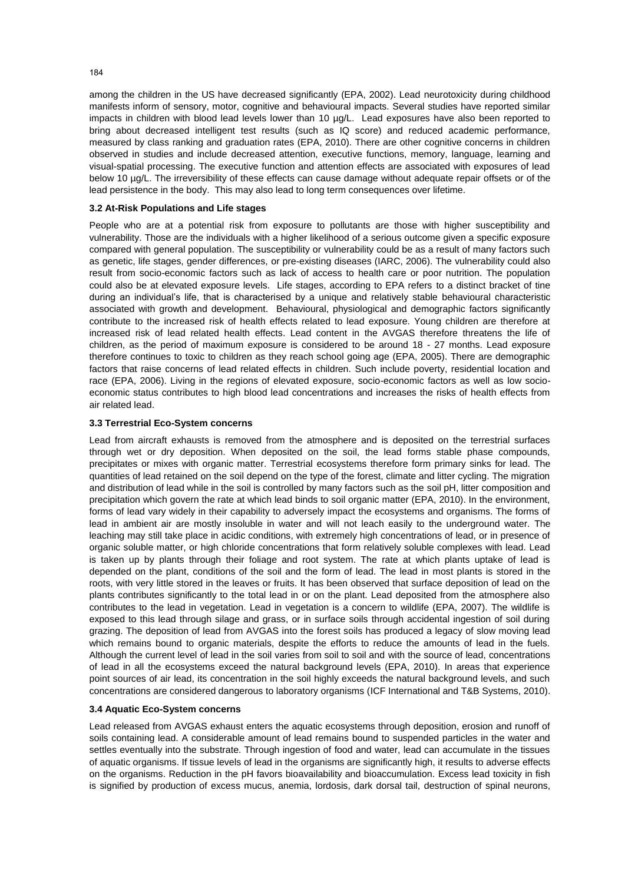among the children in the US have decreased significantly (EPA, 2002). Lead neurotoxicity during childhood manifests inform of sensory, motor, cognitive and behavioural impacts. Several studies have reported similar impacts in children with blood lead levels lower than 10 µg/L. Lead exposures have also been reported to bring about decreased intelligent test results (such as IQ score) and reduced academic performance, measured by class ranking and graduation rates (EPA, 2010). There are other cognitive concerns in children observed in studies and include decreased attention, executive functions, memory, language, learning and visual-spatial processing. The executive function and attention effects are associated with exposures of lead below 10 µg/L. The irreversibility of these effects can cause damage without adequate repair offsets or of the lead persistence in the body. This may also lead to long term consequences over lifetime.

#### **3.2 At-Risk Populations and Life stages**

People who are at a potential risk from exposure to pollutants are those with higher susceptibility and vulnerability. Those are the individuals with a higher likelihood of a serious outcome given a specific exposure compared with general population. The susceptibility or vulnerability could be as a result of many factors such as genetic, life stages, gender differences, or pre-existing diseases (IARC, 2006). The vulnerability could also result from socio-economic factors such as lack of access to health care or poor nutrition. The population could also be at elevated exposure levels. Life stages, according to EPA refers to a distinct bracket of tine during an individual's life, that is characterised by a unique and relatively stable behavioural characteristic associated with growth and development. Behavioural, physiological and demographic factors significantly contribute to the increased risk of health effects related to lead exposure. Young children are therefore at increased risk of lead related health effects. Lead content in the AVGAS therefore threatens the life of children, as the period of maximum exposure is considered to be around 18 - 27 months. Lead exposure therefore continues to toxic to children as they reach school going age (EPA, 2005). There are demographic factors that raise concerns of lead related effects in children. Such include poverty, residential location and race (EPA, 2006). Living in the regions of elevated exposure, socio-economic factors as well as low socioeconomic status contributes to high blood lead concentrations and increases the risks of health effects from air related lead.

#### **3.3 Terrestrial Eco-System concerns**

Lead from aircraft exhausts is removed from the atmosphere and is deposited on the terrestrial surfaces through wet or dry deposition. When deposited on the soil, the lead forms stable phase compounds, precipitates or mixes with organic matter. Terrestrial ecosystems therefore form primary sinks for lead. The quantities of lead retained on the soil depend on the type of the forest, climate and litter cycling. The migration and distribution of lead while in the soil is controlled by many factors such as the soil pH, litter composition and precipitation which govern the rate at which lead binds to soil organic matter (EPA, 2010). In the environment, forms of lead vary widely in their capability to adversely impact the ecosystems and organisms. The forms of lead in ambient air are mostly insoluble in water and will not leach easily to the underground water. The leaching may still take place in acidic conditions, with extremely high concentrations of lead, or in presence of organic soluble matter, or high chloride concentrations that form relatively soluble complexes with lead. Lead is taken up by plants through their foliage and root system. The rate at which plants uptake of lead is depended on the plant, conditions of the soil and the form of lead. The lead in most plants is stored in the roots, with very little stored in the leaves or fruits. It has been observed that surface deposition of lead on the plants contributes significantly to the total lead in or on the plant. Lead deposited from the atmosphere also contributes to the lead in vegetation. Lead in vegetation is a concern to wildlife (EPA, 2007). The wildlife is exposed to this lead through silage and grass, or in surface soils through accidental ingestion of soil during grazing. The deposition of lead from AVGAS into the forest soils has produced a legacy of slow moving lead which remains bound to organic materials, despite the efforts to reduce the amounts of lead in the fuels. Although the current level of lead in the soil varies from soil to soil and with the source of lead, concentrations of lead in all the ecosystems exceed the natural background levels (EPA, 2010). In areas that experience point sources of air lead, its concentration in the soil highly exceeds the natural background levels, and such concentrations are considered dangerous to laboratory organisms (ICF International and T&B Systems, 2010).

## **3.4 Aquatic Eco-System concerns**

Lead released from AVGAS exhaust enters the aquatic ecosystems through deposition, erosion and runoff of soils containing lead. A considerable amount of lead remains bound to suspended particles in the water and settles eventually into the substrate. Through ingestion of food and water, lead can accumulate in the tissues of aquatic organisms. If tissue levels of lead in the organisms are significantly high, it results to adverse effects on the organisms. Reduction in the pH favors bioavailability and bioaccumulation. Excess lead toxicity in fish is signified by production of excess mucus, anemia, lordosis, dark dorsal tail, destruction of spinal neurons,

184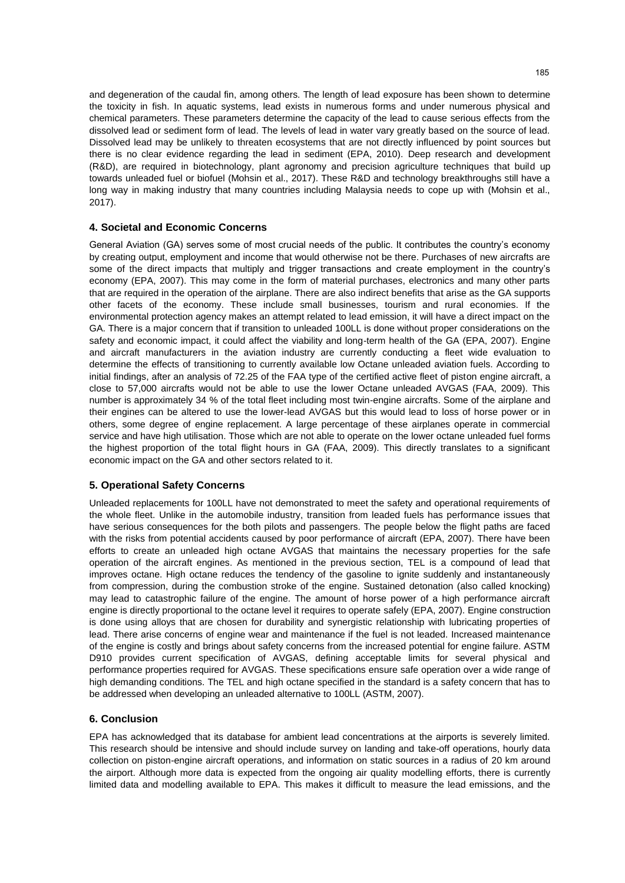and degeneration of the caudal fin, among others. The length of lead exposure has been shown to determine the toxicity in fish. In aquatic systems, lead exists in numerous forms and under numerous physical and chemical parameters. These parameters determine the capacity of the lead to cause serious effects from the dissolved lead or sediment form of lead. The levels of lead in water vary greatly based on the source of lead. Dissolved lead may be unlikely to threaten ecosystems that are not directly influenced by point sources but there is no clear evidence regarding the lead in sediment (EPA, 2010). Deep research and development (R&D), are required in biotechnology, plant agronomy and precision agriculture techniques that build up towards unleaded fuel or biofuel (Mohsin et al., 2017). These R&D and technology breakthroughs still have a long way in making industry that many countries including Malaysia needs to cope up with (Mohsin et al., 2017).

# **4. Societal and Economic Concerns**

General Aviation (GA) serves some of most crucial needs of the public. It contributes the country's economy by creating output, employment and income that would otherwise not be there. Purchases of new aircrafts are some of the direct impacts that multiply and trigger transactions and create employment in the country's economy (EPA, 2007). This may come in the form of material purchases, electronics and many other parts that are required in the operation of the airplane. There are also indirect benefits that arise as the GA supports other facets of the economy. These include small businesses, tourism and rural economies. If the environmental protection agency makes an attempt related to lead emission, it will have a direct impact on the GA. There is a major concern that if transition to unleaded 100LL is done without proper considerations on the safety and economic impact, it could affect the viability and long-term health of the GA (EPA, 2007). Engine and aircraft manufacturers in the aviation industry are currently conducting a fleet wide evaluation to determine the effects of transitioning to currently available low Octane unleaded aviation fuels. According to initial findings, after an analysis of 72.25 of the FAA type of the certified active fleet of piston engine aircraft, a close to 57,000 aircrafts would not be able to use the lower Octane unleaded AVGAS (FAA, 2009). This number is approximately 34 % of the total fleet including most twin-engine aircrafts. Some of the airplane and their engines can be altered to use the lower-lead AVGAS but this would lead to loss of horse power or in others, some degree of engine replacement. A large percentage of these airplanes operate in commercial service and have high utilisation. Those which are not able to operate on the lower octane unleaded fuel forms the highest proportion of the total flight hours in GA (FAA, 2009). This directly translates to a significant economic impact on the GA and other sectors related to it.

## **5. Operational Safety Concerns**

Unleaded replacements for 100LL have not demonstrated to meet the safety and operational requirements of the whole fleet. Unlike in the automobile industry, transition from leaded fuels has performance issues that have serious consequences for the both pilots and passengers. The people below the flight paths are faced with the risks from potential accidents caused by poor performance of aircraft (EPA, 2007). There have been efforts to create an unleaded high octane AVGAS that maintains the necessary properties for the safe operation of the aircraft engines. As mentioned in the previous section, TEL is a compound of lead that improves octane. High octane reduces the tendency of the gasoline to ignite suddenly and instantaneously from compression, during the combustion stroke of the engine. Sustained detonation (also called knocking) may lead to catastrophic failure of the engine. The amount of horse power of a high performance aircraft engine is directly proportional to the octane level it requires to operate safely (EPA, 2007). Engine construction is done using alloys that are chosen for durability and synergistic relationship with lubricating properties of lead. There arise concerns of engine wear and maintenance if the fuel is not leaded. Increased maintenance of the engine is costly and brings about safety concerns from the increased potential for engine failure. ASTM D910 provides current specification of AVGAS, defining acceptable limits for several physical and performance properties required for AVGAS. These specifications ensure safe operation over a wide range of high demanding conditions. The TEL and high octane specified in the standard is a safety concern that has to be addressed when developing an unleaded alternative to 100LL (ASTM, 2007).

# **6. Conclusion**

EPA has acknowledged that its database for ambient lead concentrations at the airports is severely limited. This research should be intensive and should include survey on landing and take-off operations, hourly data collection on piston-engine aircraft operations, and information on static sources in a radius of 20 km around the airport. Although more data is expected from the ongoing air quality modelling efforts, there is currently limited data and modelling available to EPA. This makes it difficult to measure the lead emissions, and the